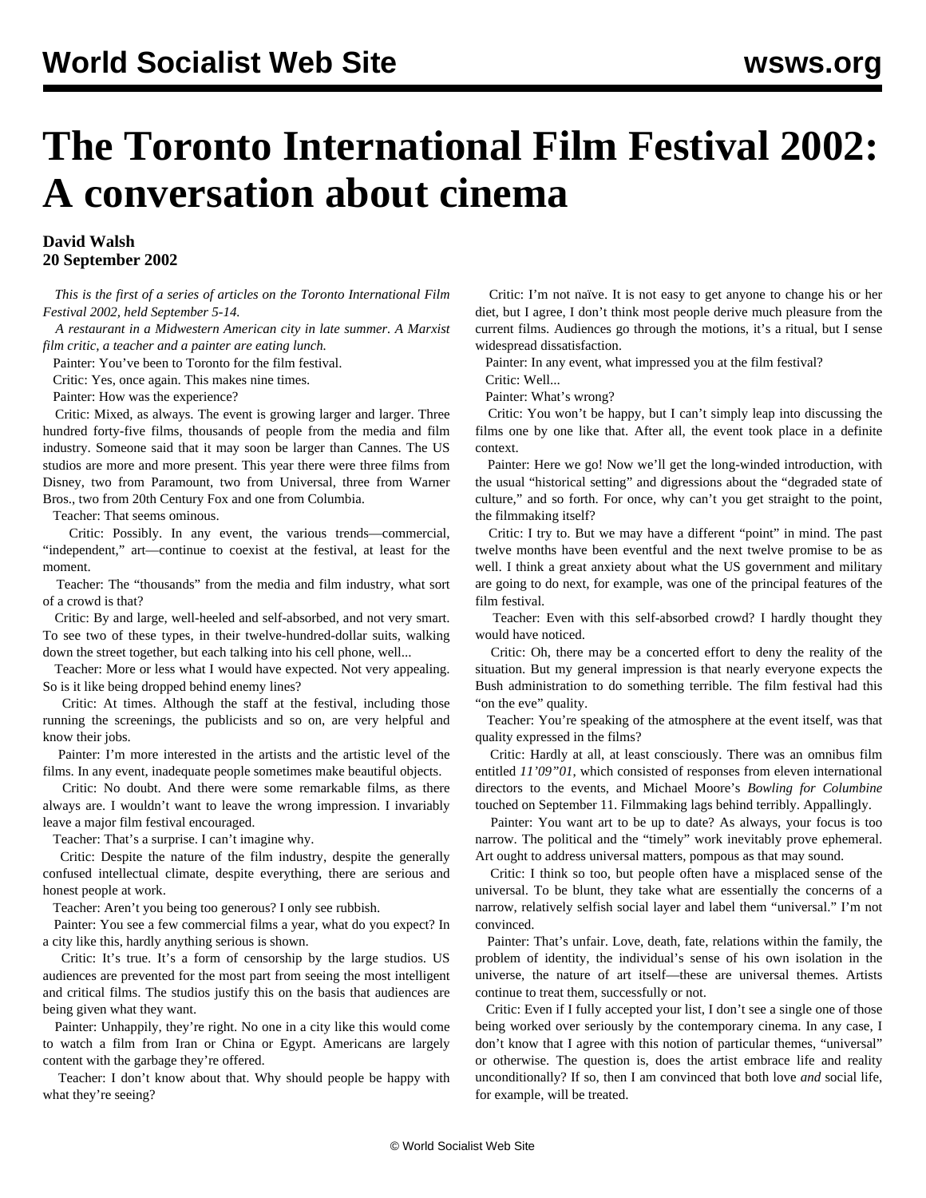## **The Toronto International Film Festival 2002: A conversation about cinema**

## **David Walsh 20 September 2002**

 *This is the first of a series of articles on the Toronto International Film Festival 2002, held September 5-14.*

 *A restaurant in a Midwestern American city in late summer. A Marxist film critic, a teacher and a painter are eating lunch.*

Painter: You've been to Toronto for the film festival.

Critic: Yes, once again. This makes nine times.

Painter: How was the experience?

 Critic: Mixed, as always. The event is growing larger and larger. Three hundred forty-five films, thousands of people from the media and film industry. Someone said that it may soon be larger than Cannes. The US studios are more and more present. This year there were three films from Disney, two from Paramount, two from Universal, three from Warner Bros., two from 20th Century Fox and one from Columbia.

Teacher: That seems ominous.

 Critic: Possibly. In any event, the various trends—commercial, "independent," art—continue to coexist at the festival, at least for the moment.

 Teacher: The "thousands" from the media and film industry, what sort of a crowd is that?

 Critic: By and large, well-heeled and self-absorbed, and not very smart. To see two of these types, in their twelve-hundred-dollar suits, walking down the street together, but each talking into his cell phone, well...

 Teacher: More or less what I would have expected. Not very appealing. So is it like being dropped behind enemy lines?

 Critic: At times. Although the staff at the festival, including those running the screenings, the publicists and so on, are very helpful and know their jobs.

 Painter: I'm more interested in the artists and the artistic level of the films. In any event, inadequate people sometimes make beautiful objects.

 Critic: No doubt. And there were some remarkable films, as there always are. I wouldn't want to leave the wrong impression. I invariably leave a major film festival encouraged.

Teacher: That's a surprise. I can't imagine why.

 Critic: Despite the nature of the film industry, despite the generally confused intellectual climate, despite everything, there are serious and honest people at work.

Teacher: Aren't you being too generous? I only see rubbish.

 Painter: You see a few commercial films a year, what do you expect? In a city like this, hardly anything serious is shown.

 Critic: It's true. It's a form of censorship by the large studios. US audiences are prevented for the most part from seeing the most intelligent and critical films. The studios justify this on the basis that audiences are being given what they want.

 Painter: Unhappily, they're right. No one in a city like this would come to watch a film from Iran or China or Egypt. Americans are largely content with the garbage they're offered.

 Teacher: I don't know about that. Why should people be happy with what they're seeing?

 Critic: I'm not naïve. It is not easy to get anyone to change his or her diet, but I agree, I don't think most people derive much pleasure from the current films. Audiences go through the motions, it's a ritual, but I sense widespread dissatisfaction.

Painter: In any event, what impressed you at the film festival?

Critic: Well...

Painter: What's wrong?

 Critic: You won't be happy, but I can't simply leap into discussing the films one by one like that. After all, the event took place in a definite context.

 Painter: Here we go! Now we'll get the long-winded introduction, with the usual "historical setting" and digressions about the "degraded state of culture," and so forth. For once, why can't you get straight to the point, the filmmaking itself?

 Critic: I try to. But we may have a different "point" in mind. The past twelve months have been eventful and the next twelve promise to be as well. I think a great anxiety about what the US government and military are going to do next, for example, was one of the principal features of the film festival.

 Teacher: Even with this self-absorbed crowd? I hardly thought they would have noticed.

 Critic: Oh, there may be a concerted effort to deny the reality of the situation. But my general impression is that nearly everyone expects the Bush administration to do something terrible. The film festival had this "on the eve" quality.

 Teacher: You're speaking of the atmosphere at the event itself, was that quality expressed in the films?

 Critic: Hardly at all, at least consciously. There was an omnibus film entitled *11'09"01*, which consisted of responses from eleven international directors to the events, and Michael Moore's *Bowling for Columbine* touched on September 11. Filmmaking lags behind terribly. Appallingly.

 Painter: You want art to be up to date? As always, your focus is too narrow. The political and the "timely" work inevitably prove ephemeral. Art ought to address universal matters, pompous as that may sound.

 Critic: I think so too, but people often have a misplaced sense of the universal. To be blunt, they take what are essentially the concerns of a narrow, relatively selfish social layer and label them "universal." I'm not convinced.

 Painter: That's unfair. Love, death, fate, relations within the family, the problem of identity, the individual's sense of his own isolation in the universe, the nature of art itself—these are universal themes. Artists continue to treat them, successfully or not.

 Critic: Even if I fully accepted your list, I don't see a single one of those being worked over seriously by the contemporary cinema. In any case, I don't know that I agree with this notion of particular themes, "universal" or otherwise. The question is, does the artist embrace life and reality unconditionally? If so, then I am convinced that both love *and* social life, for example, will be treated.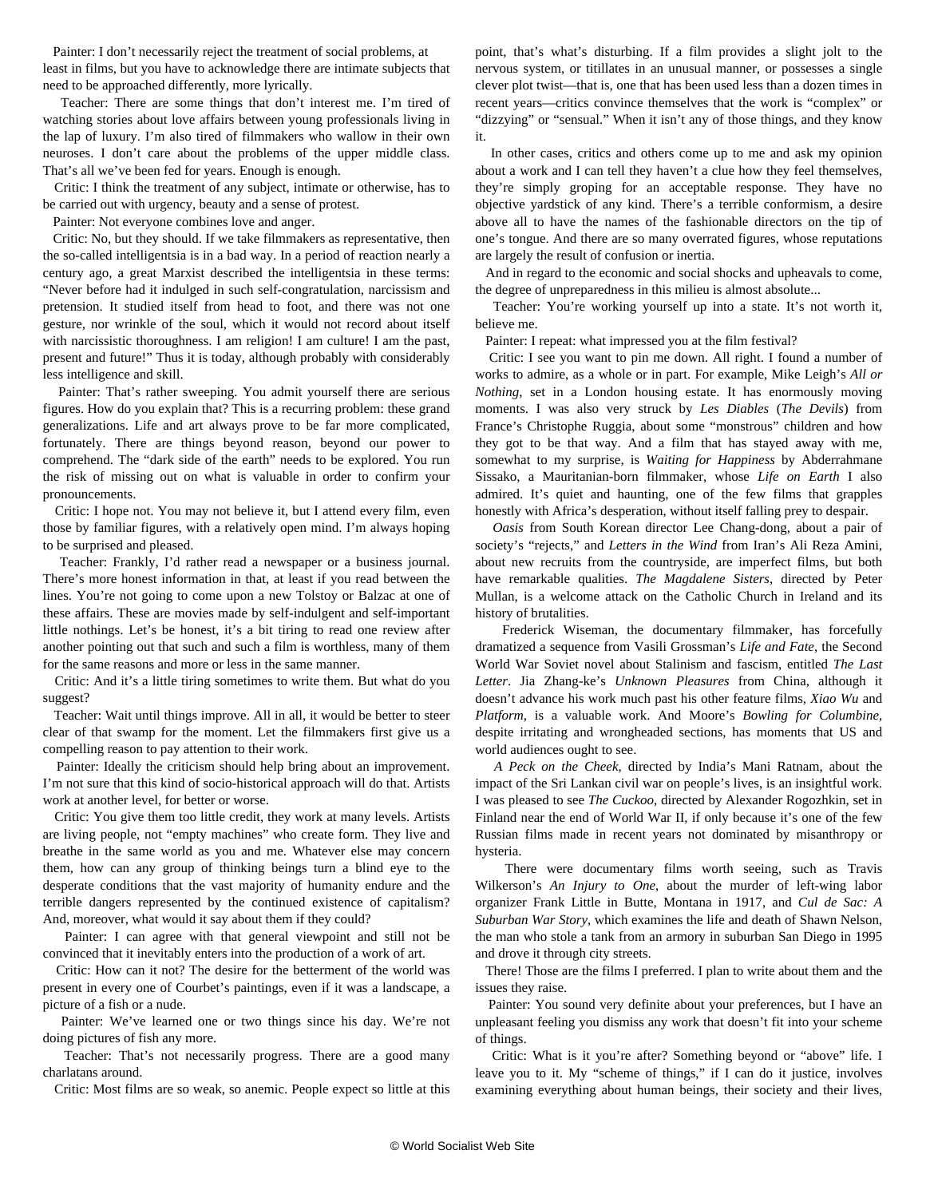Painter: I don't necessarily reject the treatment of social problems, at least in films, but you have to acknowledge there are intimate subjects that need to be approached differently, more lyrically.

 Teacher: There are some things that don't interest me. I'm tired of watching stories about love affairs between young professionals living in the lap of luxury. I'm also tired of filmmakers who wallow in their own neuroses. I don't care about the problems of the upper middle class. That's all we've been fed for years. Enough is enough.

 Critic: I think the treatment of any subject, intimate or otherwise, has to be carried out with urgency, beauty and a sense of protest.

Painter: Not everyone combines love and anger.

 Critic: No, but they should. If we take filmmakers as representative, then the so-called intelligentsia is in a bad way. In a period of reaction nearly a century ago, a great Marxist described the intelligentsia in these terms: "Never before had it indulged in such self-congratulation, narcissism and pretension. It studied itself from head to foot, and there was not one gesture, nor wrinkle of the soul, which it would not record about itself with narcissistic thoroughness. I am religion! I am culture! I am the past, present and future!" Thus it is today, although probably with considerably less intelligence and skill.

 Painter: That's rather sweeping. You admit yourself there are serious figures. How do you explain that? This is a recurring problem: these grand generalizations. Life and art always prove to be far more complicated, fortunately. There are things beyond reason, beyond our power to comprehend. The "dark side of the earth" needs to be explored. You run the risk of missing out on what is valuable in order to confirm your pronouncements.

 Critic: I hope not. You may not believe it, but I attend every film, even those by familiar figures, with a relatively open mind. I'm always hoping to be surprised and pleased.

 Teacher: Frankly, I'd rather read a newspaper or a business journal. There's more honest information in that, at least if you read between the lines. You're not going to come upon a new Tolstoy or Balzac at one of these affairs. These are movies made by self-indulgent and self-important little nothings. Let's be honest, it's a bit tiring to read one review after another pointing out that such and such a film is worthless, many of them for the same reasons and more or less in the same manner.

 Critic: And it's a little tiring sometimes to write them. But what do you suggest?

 Teacher: Wait until things improve. All in all, it would be better to steer clear of that swamp for the moment. Let the filmmakers first give us a compelling reason to pay attention to their work.

 Painter: Ideally the criticism should help bring about an improvement. I'm not sure that this kind of socio-historical approach will do that. Artists work at another level, for better or worse.

 Critic: You give them too little credit, they work at many levels. Artists are living people, not "empty machines" who create form. They live and breathe in the same world as you and me. Whatever else may concern them, how can any group of thinking beings turn a blind eye to the desperate conditions that the vast majority of humanity endure and the terrible dangers represented by the continued existence of capitalism? And, moreover, what would it say about them if they could?

 Painter: I can agree with that general viewpoint and still not be convinced that it inevitably enters into the production of a work of art.

 Critic: How can it not? The desire for the betterment of the world was present in every one of Courbet's paintings, even if it was a landscape, a picture of a fish or a nude.

 Painter: We've learned one or two things since his day. We're not doing pictures of fish any more.

 Teacher: That's not necessarily progress. There are a good many charlatans around.

Critic: Most films are so weak, so anemic. People expect so little at this

point, that's what's disturbing. If a film provides a slight jolt to the nervous system, or titillates in an unusual manner, or possesses a single clever plot twist—that is, one that has been used less than a dozen times in recent years—critics convince themselves that the work is "complex" or "dizzying" or "sensual." When it isn't any of those things, and they know it.

 In other cases, critics and others come up to me and ask my opinion about a work and I can tell they haven't a clue how they feel themselves, they're simply groping for an acceptable response. They have no objective yardstick of any kind. There's a terrible conformism, a desire above all to have the names of the fashionable directors on the tip of one's tongue. And there are so many overrated figures, whose reputations are largely the result of confusion or inertia.

 And in regard to the economic and social shocks and upheavals to come, the degree of unpreparedness in this milieu is almost absolute...

 Teacher: You're working yourself up into a state. It's not worth it, believe me.

Painter: I repeat: what impressed you at the film festival?

 Critic: I see you want to pin me down. All right. I found a number of works to admire, as a whole or in part. For example, Mike Leigh's *All or Nothing*, set in a London housing estate. It has enormously moving moments. I was also very struck by *Les Diables* (*The Devils*) from France's Christophe Ruggia, about some "monstrous" children and how they got to be that way. And a film that has stayed away with me, somewhat to my surprise, is *Waiting for Happiness* by Abderrahmane Sissako, a Mauritanian-born filmmaker, whose *Life on Earth* I also admired. It's quiet and haunting, one of the few films that grapples honestly with Africa's desperation, without itself falling prey to despair.

 *Oasis* from South Korean director Lee Chang-dong, about a pair of society's "rejects," and *Letters in the Wind* from Iran's Ali Reza Amini, about new recruits from the countryside, are imperfect films, but both have remarkable qualities. *The Magdalene Sisters*, directed by Peter Mullan, is a welcome attack on the Catholic Church in Ireland and its history of brutalities.

 Frederick Wiseman, the documentary filmmaker, has forcefully dramatized a sequence from Vasili Grossman's *Life and Fate*, the Second World War Soviet novel about Stalinism and fascism, entitled *The Last Letter*. Jia Zhang-ke's *Unknown Pleasures* from China, although it doesn't advance his work much past his other feature films, *Xiao Wu* and *Platform*, is a valuable work. And Moore's *Bowling for Columbine*, despite irritating and wrongheaded sections, has moments that US and world audiences ought to see.

 *A Peck on the Cheek*, directed by India's Mani Ratnam, about the impact of the Sri Lankan civil war on people's lives, is an insightful work. I was pleased to see *The Cuckoo*, directed by Alexander Rogozhkin, set in Finland near the end of World War II, if only because it's one of the few Russian films made in recent years not dominated by misanthropy or hysteria.

 There were documentary films worth seeing, such as Travis Wilkerson's *An Injury to One*, about the murder of left-wing labor organizer Frank Little in Butte, Montana in 1917, and *Cul de Sac: A Suburban War Story*, which examines the life and death of Shawn Nelson, the man who stole a tank from an armory in suburban San Diego in 1995 and drove it through city streets.

 There! Those are the films I preferred. I plan to write about them and the issues they raise.

 Painter: You sound very definite about your preferences, but I have an unpleasant feeling you dismiss any work that doesn't fit into your scheme of things.

 Critic: What is it you're after? Something beyond or "above" life. I leave you to it. My "scheme of things," if I can do it justice, involves examining everything about human beings, their society and their lives,